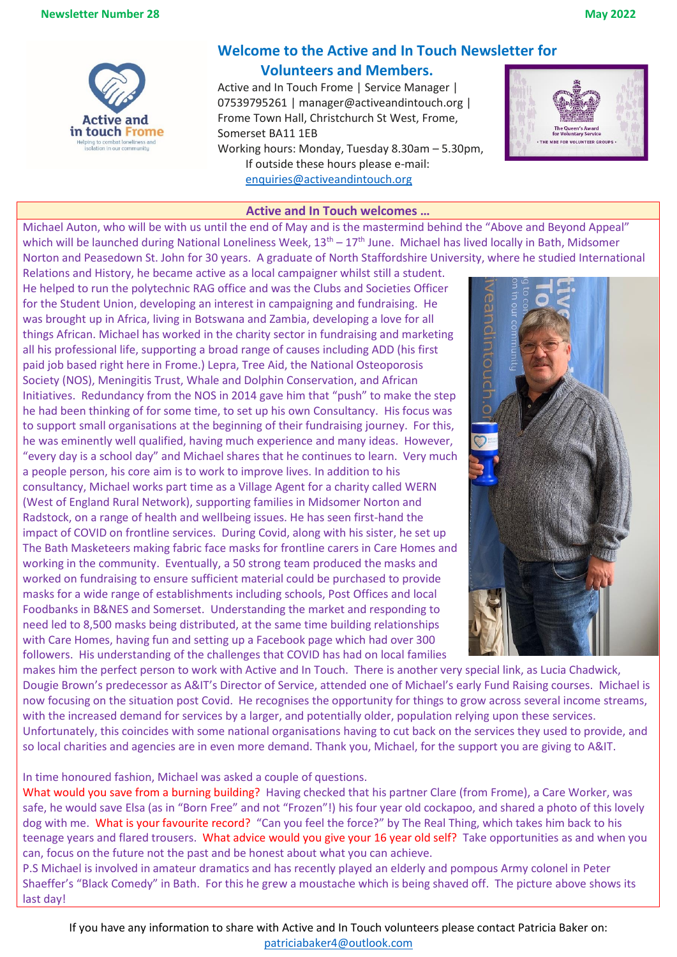

# **Welcome to the Active and In Touch Newsletter for**

# **Volunteers and Members.**

Active and In Touch Frome | Service Manager | 07539795261 | manager@activeandintouch.org | Frome Town Hall, Christchurch St West, Frome, Somerset BA11 1EB

Working hours: Monday, Tuesday 8.30am – 5.30pm, If outside these hours please e-mail: [enquiries@activeandintouch.org](mailto:enquiries@activeandintouch.org)



## **Active and In Touch welcomes …**

Michael Auton, who will be with us until the end of May and is the mastermind behind the "Above and Beyond Appeal" which will be launched during National Loneliness Week,  $13<sup>th</sup> - 17<sup>th</sup>$  June. Michael has lived locally in Bath, Midsomer Norton and Peasedown St. John for 30 years. A graduate of North Staffordshire University, where he studied International

Relations and History, he became active as a local campaigner whilst still a student. He helped to run the polytechnic RAG office and was the Clubs and Societies Officer for the Student Union, developing an interest in campaigning and fundraising. He was brought up in Africa, living in Botswana and Zambia, developing a love for all things African. Michael has worked in the charity sector in fundraising and marketing all his professional life, supporting a broad range of causes including ADD (his first paid job based right here in Frome.) Lepra, Tree Aid, the National Osteoporosis Society (NOS), Meningitis Trust, Whale and Dolphin Conservation, and African Initiatives. Redundancy from the NOS in 2014 gave him that "push" to make the step he had been thinking of for some time, to set up his own Consultancy. His focus was to support small organisations at the beginning of their fundraising journey. For this, he was eminently well qualified, having much experience and many ideas. However, "every day is a school day" and Michael shares that he continues to learn. Very much a people person, his core aim is to work to improve lives. In addition to his consultancy, Michael works part time as a Village Agent for a charity called WERN (West of England Rural Network), supporting families in Midsomer Norton and Radstock, on a range of health and wellbeing issues. He has seen first-hand the impact of COVID on frontline services. During Covid, along with his sister, he set up The Bath Masketeers making fabric face masks for frontline carers in Care Homes and working in the community. Eventually, a 50 strong team produced the masks and worked on fundraising to ensure sufficient material could be purchased to provide masks for a wide range of establishments including schools, Post Offices and local Foodbanks in B&NES and Somerset. Understanding the market and responding to need led to 8,500 masks being distributed, at the same time building relationships with Care Homes, having fun and setting up a Facebook page which had over 300 followers. His understanding of the challenges that COVID has had on local families



makes him the perfect person to work with Active and In Touch. There is another very special link, as Lucia Chadwick, Dougie Brown's predecessor as A&IT's Director of Service, attended one of Michael's early Fund Raising courses. Michael is now focusing on the situation post Covid. He recognises the opportunity for things to grow across several income streams, with the increased demand for services by a larger, and potentially older, population relying upon these services. Unfortunately, this coincides with some national organisations having to cut back on the services they used to provide, and so local charities and agencies are in even more demand. Thank you, Michael, for the support you are giving to A&IT.

In time honoured fashion, Michael was asked a couple of questions.

What would you save from a burning building? Having checked that his partner Clare (from Frome), a Care Worker, was safe, he would save Elsa (as in "Born Free" and not "Frozen"!) his four year old cockapoo, and shared a photo of this lovely dog with me. What is your favourite record? "Can you feel the force?" by The Real Thing, which takes him back to his teenage years and flared trousers. What advice would you give your 16 year old self? Take opportunities as and when you can, focus on the future not the past and be honest about what you can achieve.

P.S Michael is involved in amateur dramatics and has recently played an elderly and pompous Army colonel in Peter Shaeffer's "Black Comedy" in Bath. For this he grew a moustache which is being shaved off. The picture above shows its last day!